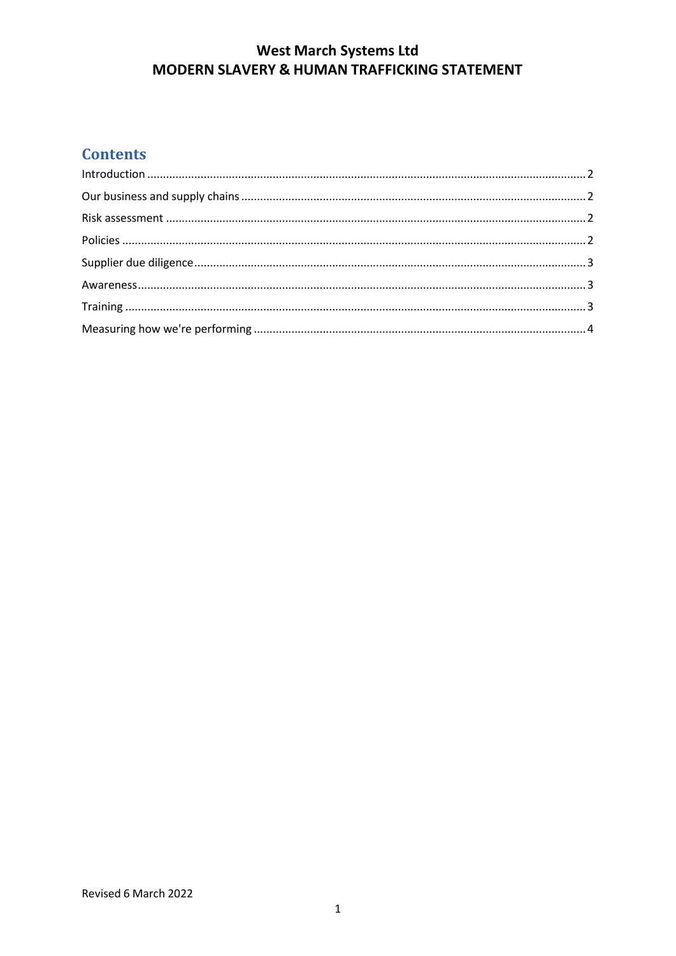# West March Systems Ltd<br>MODERN SLAVERY & HUMAN TRAFFICKING STATEMENT

## **Contents**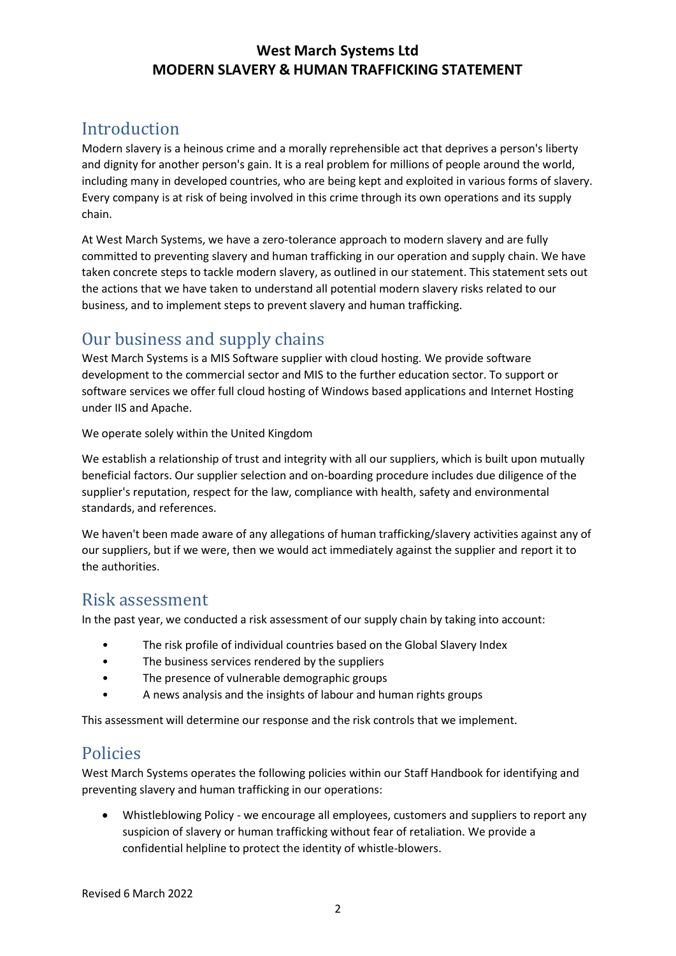#### **West March Systems Ltd MODERN SLAVERY & HUMAN TRAFFICKING STATEMENT**

# <span id="page-1-0"></span>Introduction

Modern slavery is a heinous crime and a morally reprehensible act that deprives a person's liberty and dignity for another person's gain. It is a real problem for millions of people around the world, including many in developed countries, who are being kept and exploited in various forms of slavery. Every company is at risk of being involved in this crime through its own operations and its supply chain.

At West March Systems, we have a zero-tolerance approach to modern slavery and are fully committed to preventing slavery and human trafficking in our operation and supply chain. We have taken concrete steps to tackle modern slavery, as outlined in our statement. This statement sets out the actions that we have taken to understand all potential modern slavery risks related to our business, and to implement steps to prevent slavery and human trafficking.

# <span id="page-1-1"></span>Our business and supply chains

West March Systems is a MIS Software supplier with cloud hosting. We provide software development to the commercial sector and MIS to the further education sector. To support or software services we offer full cloud hosting of Windows based applications and Internet Hosting under IIS and Apache.

We operate solely within the United Kingdom

We establish a relationship of trust and integrity with all our suppliers, which is built upon mutually beneficial factors. Our supplier selection and on-boarding procedure includes due diligence of the supplier's reputation, respect for the law, compliance with health, safety and environmental standards, and references.

We haven't been made aware of any allegations of human trafficking/slavery activities against any of our suppliers, but if we were, then we would act immediately against the supplier and report it to the authorities.

#### <span id="page-1-2"></span>Risk assessment

In the past year, we conducted a risk assessment of our supply chain by taking into account:

- The risk profile of individual countries based on the Global Slavery Index
- The business services rendered by the suppliers
- The presence of vulnerable demographic groups
- A news analysis and the insights of labour and human rights groups

This assessment will determine our response and the risk controls that we implement.

## <span id="page-1-3"></span>Policies

West March Systems operates the following policies within our Staff Handbook for identifying and preventing slavery and human trafficking in our operations:

 Whistleblowing Policy - we encourage all employees, customers and suppliers to report any suspicion of slavery or human trafficking without fear of retaliation. We provide a confidential helpline to protect the identity of whistle-blowers.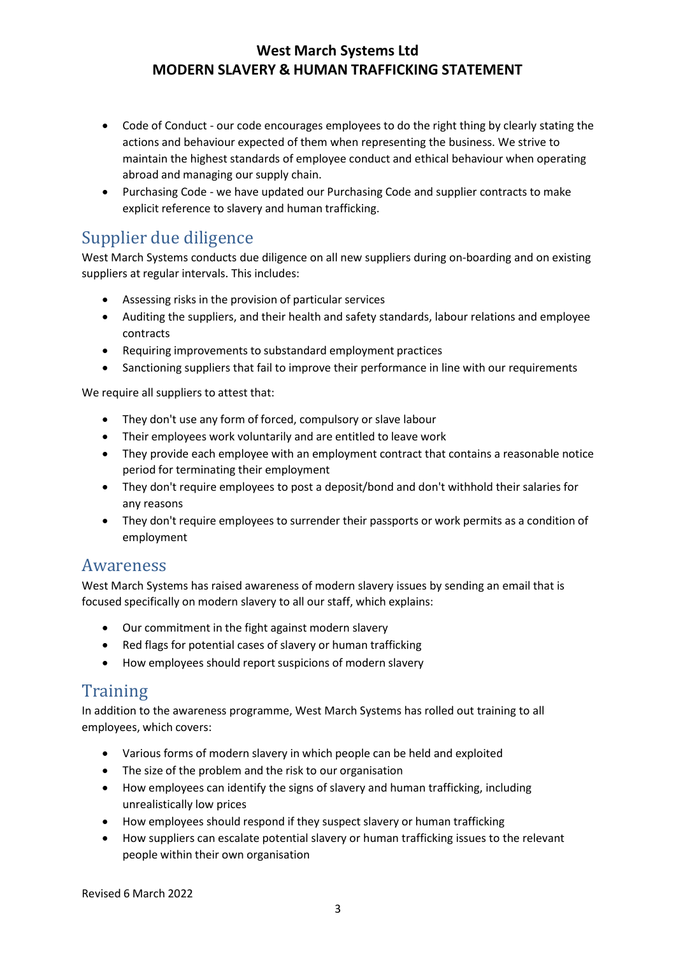#### **West March Systems Ltd MODERN SLAVERY & HUMAN TRAFFICKING STATEMENT**

- Code of Conduct our code encourages employees to do the right thing by clearly stating the actions and behaviour expected of them when representing the business. We strive to maintain the highest standards of employee conduct and ethical behaviour when operating abroad and managing our supply chain.
- Purchasing Code we have updated our Purchasing Code and supplier contracts to make explicit reference to slavery and human trafficking.

# <span id="page-2-0"></span>Supplier due diligence

West March Systems conducts due diligence on all new suppliers during on-boarding and on existing suppliers at regular intervals. This includes:

- Assessing risks in the provision of particular services
- Auditing the suppliers, and their health and safety standards, labour relations and employee contracts
- Requiring improvements to substandard employment practices
- Sanctioning suppliers that fail to improve their performance in line with our requirements

We require all suppliers to attest that:

- They don't use any form of forced, compulsory or slave labour
- Their employees work voluntarily and are entitled to leave work
- They provide each employee with an employment contract that contains a reasonable notice period for terminating their employment
- They don't require employees to post a deposit/bond and don't withhold their salaries for any reasons
- They don't require employees to surrender their passports or work permits as a condition of employment

#### <span id="page-2-1"></span>Awareness

West March Systems has raised awareness of modern slavery issues by sending an email that is focused specifically on modern slavery to all our staff, which explains:

- Our commitment in the fight against modern slavery
- Red flags for potential cases of slavery or human trafficking
- How employees should report suspicions of modern slavery

## <span id="page-2-2"></span>**Training**

In addition to the awareness programme, West March Systems has rolled out training to all employees, which covers:

- Various forms of modern slavery in which people can be held and exploited
- The size of the problem and the risk to our organisation
- How employees can identify the signs of slavery and human trafficking, including unrealistically low prices
- How employees should respond if they suspect slavery or human trafficking
- How suppliers can escalate potential slavery or human trafficking issues to the relevant people within their own organisation